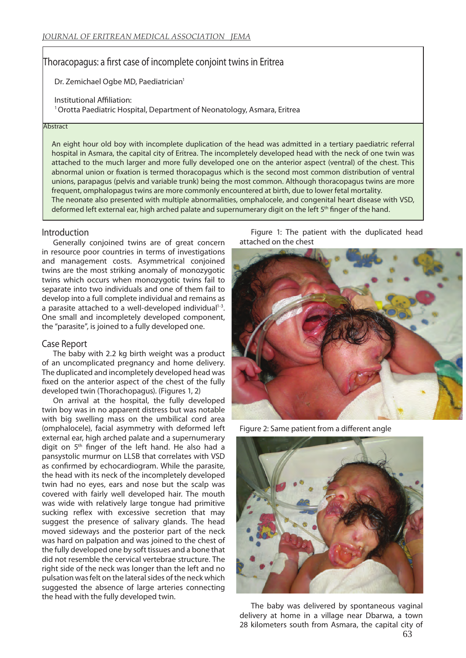# Thoracopagus: a first case of incomplete conjoint twins in Eritrea

Dr. Zemichael Ogbe MD, Paediatrician<sup>1</sup>

Institutional Affiliation:

<sup>1</sup> Orotta Paediatric Hospital, Department of Neonatology, Asmara, Eritrea

#### **Abstract**

An eight hour old boy with incomplete duplication of the head was admitted in a tertiary paediatric referral hospital in Asmara, the capital city of Eritrea. The incompletely developed head with the neck of one twin was attached to the much larger and more fully developed one on the anterior aspect (ventral) of the chest. This abnormal union or fixation is termed thoracopagus which is the second most common distribution of ventral unions, parapagus (pelvis and variable trunk) being the most common. Although thoracopagus twins are more frequent, omphalopagus twins are more commonly encountered at birth, due to lower fetal mortality. The neonate also presented with multiple abnormalities, omphalocele, and congenital heart disease with VSD, deformed left external ear, high arched palate and supernumerary digit on the left 5<sup>th</sup> finger of the hand.

# Introduction

Generally conjoined twins are of great concern in resource poor countries in terms of investigations and management costs. Asymmetrical conjoined twins are the most striking anomaly of monozygotic twins which occurs when monozygotic twins fail to separate into two individuals and one of them fail to develop into a full complete individual and remains as a parasite attached to a well-developed individual $1-3$ . One small and incompletely developed component, the "parasite", is joined to a fully developed one.

# Case Report

The baby with 2.2 kg birth weight was a product of an uncomplicated pregnancy and home delivery. The duplicated and incompletely developed head was fixed on the anterior aspect of the chest of the fully developed twin (Thorachopagus). (Figures 1, 2)

On arrival at the hospital, the fully developed twin boy was in no apparent distress but was notable with big swelling mass on the umbilical cord area (omphalocele), facial asymmetry with deformed left external ear, high arched palate and a supernumerary digit on 5<sup>th</sup> finger of the left hand. He also had a pansystolic murmur on LLSB that correlates with VSD as confirmed by echocardiogram. While the parasite, the head with its neck of the incompletely developed twin had no eyes, ears and nose but the scalp was covered with fairly well developed hair. The mouth was wide with relatively large tongue had primitive sucking reflex with excessive secretion that may suggest the presence of salivary glands. The head moved sideways and the posterior part of the neck was hard on palpation and was joined to the chest of the fully developed one by soft tissues and a bone that did not resemble the cervical vertebrae structure. The right side of the neck was longer than the left and no pulsation was felt on the lateral sides of the neck which suggested the absence of large arteries connecting the head with the fully developed twin.

Figure 1: The patient with the duplicated head attached on the chest



Figure 2: Same patient from a different angle



The baby was delivered by spontaneous vaginal delivery at home in a village near Dbarwa, a town 28 kilometers south from Asmara, the capital city of